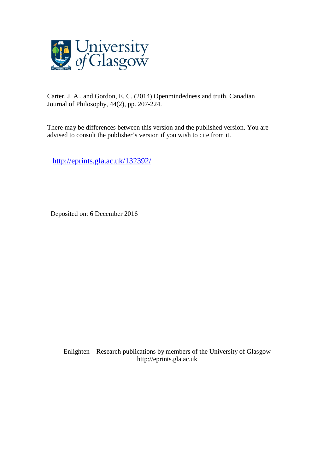

Carter, J. A., and Gordon, E. C. (2014) Openmindedness and truth. Canadian Journal of Philosophy, 44(2), pp. 207-224.

There may be differences between this version and the published version. You are advised to consult the publisher's version if you wish to cite from it.

<http://eprints.gla.ac.uk/132392/>

Deposited on: 6 December 2016

Enlighten – Research publications by members of the University of Glasgo[w](http://eprints.gla.ac.uk/) [http://eprints.gla.ac.uk](http://eprints.gla.ac.uk/)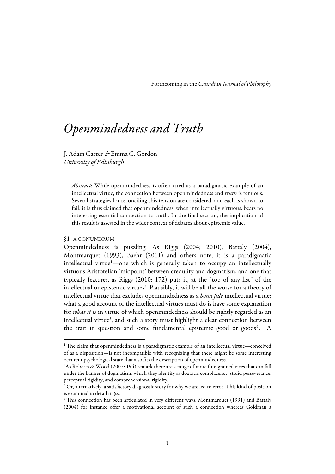# *Openmindedness and Truth*

J. Adam Carter *&* Emma C. Gordon *University of Edinburgh*

*Abstract*: While openmindedness is often cited as a paradigmatic example of an intellectual virtue, the connection between openmindedness and *truth* is tenuous. Several strategies for reconciling this tension are considered, and each is shown to fail; it is thus claimed that openmindedness, when intellectually virtuous, bears no interesting essential connection to truth. In the final section, the implication of this result is assessed in the wider context of debates about epistemic value.

#### §1 A CONUNDRUM

 

Openmindedness is puzzling. As Riggs (2004; 2010), Battaly (2004), Montmarquet (1993), Baehr (2011) and others note, it is a paradigmatic intellectual virtue<sup>1</sup>—one which is generally taken to occupy an intellectually virtuous Aristotelian 'midpoint' between credulity and dogmatism, and one that typically features, as Riggs (2010: 172) puts it, at the "top of any list" of the intellectual or epistemic virtues<sup>2</sup>. Plausibly, it will be all the worse for a theory of intellectual virtue that excludes openmindedness as a *bona fide* intellectual virtue; what a good account of the intellectual virtues must do is have some explanation for *what it is* in virtue of which openmindedness should be rightly regarded as an intellectual virtue<sup>3</sup>, and such a story must highlight a clear connection between the trait in question and some fundamental epistemic good or goods<sup>4</sup>. A

 $1$ <sup>1</sup> The claim that openmindedness is a paradigmatic example of an intellectual virtue—conceived of as a disposition—is not incompatible with recognizing that there might be some interesting occurent psychological state that also fits the description of openmindedness.

 $2$ As Roberts & Wood (2007: 194) remark there are a range of more fine-grained vices that can fall under the banner of dogmatism, which they identify as doxastic complacency, stolid perseverance, perceptual rigidity, and comprehensional rigidity.

<sup>&</sup>lt;sup>3</sup> Or, alternatively, a satisfactory diagnostic story for why we are led to error. This kind of position is examined in detail in §2.

<sup>4</sup> This connection has been articulated in very different ways. Montmarquet (1991) and Battaly (2004) for instance offer a motivational account of such a connection whereas Goldman a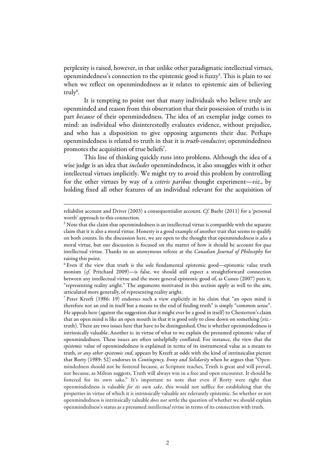perplexity is raised, however, in that unlike other paradigmatic intellectual virtues, openmindedness's connection to the epistemic good is fuzzy<sup>5</sup>. This is plain to see when we reflect on openmindedness as it relates to epistemic aim of believing truly<sup>6</sup>.

It is tempting to point out that many individuals who believe truly are openminded and reason from this observation that their possession of truths is in part *because* of their openmindedness. The idea of an exemplar judge comes to mind: an individual who disinterestedly evaluates evidence, without prejudice, and who has a disposition to give opposing arguments their due. Perhaps openmindedness is related to truth in that it is *truth-conducive*; openmindedness promotes the acquisition of true beliefs<sup>7</sup>.

This line of thinking quickly runs into problems. Although the idea of a wise judge is an idea that *includes* openmindedness, it also smuggles with it other intellectual virtues implicitly. We might try to avoid this problem by controlling for the other virtues by way of a *ceteris paribus* thought experiment—*viz*., by holding fixed all other features of an individual relevant for the acquisition of

<sup>&</sup>lt;u> 1989 - Johann Stein, marwolaethau a bhann an t-Amhain an t-Amhain an t-Amhain an t-Amhain an t-Amhain an t-A</u> reliabilist account and Driver (2003) a consequentialist account. *Cf.* Baehr (2011) for a 'personal worth' approach to this connection.

<sup>&</sup>lt;sup>5</sup> Note that the claim that openmindedness is an intellectual virtue is compatible with the separate claim that it is also a moral virtue. Honesty is a good example of another trait that seems to qualify on both counts. In the discussion here, we are open to the thought that openmindedness is *also* a moral virtue, but our discussion is focused on the matter of how it should be account for *qua*  intellectual virtue. Thanks to an anonymous referee at the *Canadian Journal of Philosophy* for raising this point.

<sup>6</sup> Even if the view that truth is the sole fundamental epistemic good—epistemic value truth monism (*cf.* Pritchard 2009)—is false, we should still expect a straightforward connection between any intellectual virtue and the more general epistemic good of, as Cuneo (2007) puts it, "representing reality aright." The arguments motivated in this section apply as well to the aim, articulated more generally, of representing reality aright.

<sup>7</sup> Peter Kreeft (1986: 19) endorses such a view explicitly in his claim that "an open mind is therefore not an end in itself but a means to the end of finding truth" is simply "common sense". He appeals here (against the suggestion that it might ever be a good in itself) to Chesterton's claim that an open mind is like an open mouth in that it is good only to close down on something (*viz*. truth). There are two issues here that have to be distinguished. One is whether openmindedness is intrinsically valuable. Another is: in virtue of what to we explain the presumed epistemic value of openmindedness. These issues are often unhelpfully conflated. For instance, the view that the *epistemic* value of openmindedness is explained in terms of its instrumental value as a means to truth, *or any other epistemic end*, appears by Kreeft at odds with the kind of intrinsicalist picture that Rorty (1989: 52) endorses in *Contingency, Irony and Solidarity* when he argues that "Openmindedness should not be fostered because, as Scripture teaches, Truth is great and will prevail, nor because, as Milton suggests, Truth will always win in a free and open encounter. It should be fostered for its own sake." It's important to note that even if Rorty were right that openmindedness is valuable *for its own sake*, this would not suffice for establishing that the properties in virtue of which it is intrinsically valuable are relevantly epistemic. So whether or not openmindedness is intrinsically valuable *does not* settle the question of whether we should explain openmindedness's status as a presumed *intellectual virtu*e in terms of its connection with truth.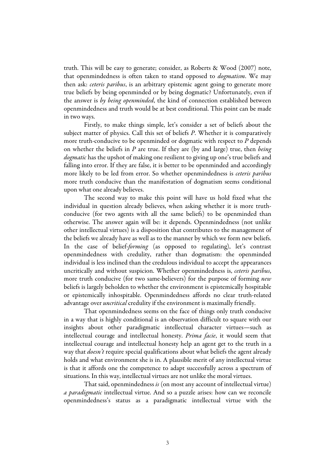truth. This will be easy to generate; consider, as Roberts & Wood (2007) note, that openmindedness is often taken to stand opposed to *dogmatism*. We may then ask: *ceteris paribus*, is an arbitrary epistemic agent going to generate more true beliefs by being openminded or by being dogmatic? Unfortunately, even if the answer is *by being openminded*, the kind of connection established between openmindedness and truth would be at best conditional. This point can be made in two ways.

Firstly, to make things simple, let's consider a set of beliefs about the subject matter of physics. Call this set of beliefs *P*. Whether it is comparatively more truth-conducive to be openminded or dogmatic with respect to *P* depends on whether the beliefs in *P* are true. If they are (by and large) true, then *being dogmatic* has the upshot of making one resilient to giving up one's true beliefs and falling into error. If they are false, it is better to be openminded and accordingly more likely to be led from error. So whether openmindedness is *ceteris paribus* more truth conducive than the manifestation of dogmatism seems conditional upon what one already believes.

The second way to make this point will have us hold fixed what the individual in question already believes, when asking whether it is more truthconducive (for two agents with all the same beliefs) to be openminded than otherwise. The answer again will be: it depends. Openmindedness (not unlike other intellectual virtues) is a disposition that contributes to the management of the beliefs we already have as well as to the manner by which we form new beliefs. In the case of belief-*forming* (as opposed to regulating), let's contrast openmindedness with credulity, rather than dogmatism: the openminded individual is less inclined than the credulous individual to accept the appearances uncritically and without suspicion. Whether openmindedness is, *ceteris paribus*, more truth conducive (for two same-believers) for the purpose of forming *new* beliefs is largely beholden to whether the environment is epistemically hospitable or epistemically inhospitable. Openmindedness affords no clear truth-related advantage over *uncritical* credulity if the environment is maximally friendly.

That openmindedness seems on the face of things only truth conducive in a way that is highly conditional is an observation difficult to square with our insights about other paradigmatic intellectual character virtues—such as intellectual courage and intellectual honesty. *Prima facie*, it would seem that intellectual courage and intellectual honesty help an agent get to the truth in a way that *doesn't* require special qualifications about what beliefs the agent already holds and what environment she is in. A plausible merit of any intellectual virtue is that it affords one the competence to adapt successfully across a spectrum of situations. In this way, intellectual virtues are not unlike the moral virtues.

That said, openmindedness *is* (on most any account of intellectual virtue) *a paradigmatic* intellectual virtue. And so a puzzle arises: how can we reconcile openmindedness's status as a paradigmatic intellectual virtue with the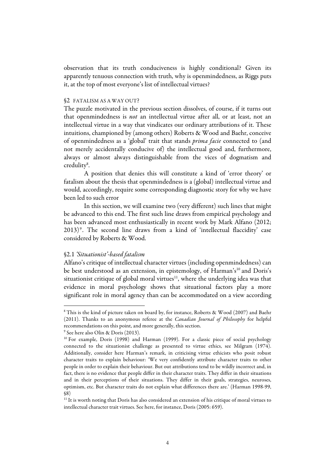observation that its truth conduciveness is highly conditional? Given its apparently tenuous connection with truth, why is openmindedness, as Riggs puts it, at the top of most everyone's list of intellectual virtues?

#### §2 FATALISM AS A WAY OUT?

The puzzle motivated in the previous section dissolves, of course, if it turns out that openmindedness is *not* an intellectual virtue after all, or at least, not an intellectual virtue in a way that vindicates our ordinary attributions of it. These intuitions, championed by (among others) Roberts & Wood and Baehr, conceive of openmindedness as a 'global' trait that stands *prima facie* connected to (and not merely accidentally conducive of) the intellectual good and, furthermore, always or almost always distinguishable from the vices of dogmatism and credulity<sup>8</sup>.

A position that denies this will constitute a kind of 'error theory' or fatalism about the thesis that openmindedness is a (global) intellectual virtue and would, accordingly, require some corresponding diagnostic story for why we have been led to such error

In this section, we will examine two (very different) such lines that might be advanced to this end. The first such line draws from empirical psychology and has been advanced most enthusiastically in recent work by Mark Alfano (2012; 2013)<sup>9</sup>. The second line draws from a kind of 'intellectual flaccidity' case considered by Roberts & Wood.

#### §2.1 *'Situationist'-based fatalism*

Alfano's critique of intellectual character virtues (including openmindedness) can be best understood as an extension, in epistemology, of Harman's<sup>10</sup> and Doris's situationist critique of global moral virtues $11$ , where the underlying idea was that evidence in moral psychology shows that situational factors play a more significant role in moral agency than can be accommodated on a view according

<sup>8</sup> This is the kind of picture taken on board by, for instance, Roberts & Wood (2007) and Baehr (2011). Thanks to an anonymous referee at the *Canadian Journal of Philosophy* for helpful recommendations on this point, and more generally, this section.

<sup>9</sup> See here also Olin & Doris (2013).

<sup>&</sup>lt;sup>10</sup> For example, Doris (1998) and Harman (1999). For a classic piece of social psychology connected to the situationist challenge as presented to virtue ethics, see Milgram (1974). Additionally, consider here Harman's remark, in criticising virtue ethicists who posit robust character traits to explain behaviour: 'We very confidently attribute character traits to other people in order to explain their behaviour. But out attributions tend to be wildly incorrect and, in fact, there is no evidence that people differ in their character traits. They differ in their situations and in their perceptions of their situations. They differ in their goals, strategies, neuroses, optimism, etc. But character traits do not explain what differences there are.' (Harman 1998-99, §8)

<sup>&</sup>lt;sup>11</sup> It is worth noting that Doris has also considered an extension of his critique of moral virtues to intellectual character trait virtues. See here, for instance, Doris (2005: 659).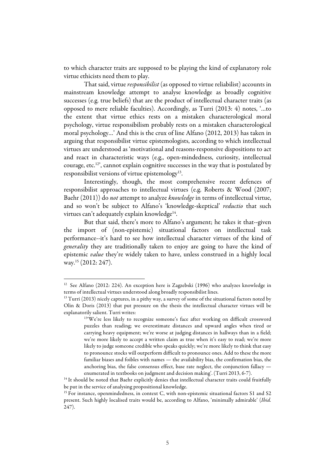to which character traits are supposed to be playing the kind of explanatory role virtue ethicists need them to play.

That said, virtue *responsibilist* (as opposed to virtue reliabilist) accounts in mainstream knowledge attempt to analyse knowledge as broadly cognitive successes (e.g. true beliefs) that are the product of intellectual character traits (as opposed to mere reliable faculties). Accordingly, as Turri (2013: 4) notes, '…to the extent that virtue ethics rests on a mistaken characterological moral psychology, virtue responsibilism probably rests on a mistaken characterological moral psychology…' And this is the crux of line Alfano (2012, 2013) has taken in arguing that responsibilist virtue epistemologists, according to which intellectual virtues are understood as 'motivational and reasons-responsive dispositions to act and react in characteristic ways (e.g., open-mindedness, curiosity, intellectual courage, etc.12', cannot explain cognitive successes in the way that is postulated by responsibilist versions of virtue epistemology<sup>13</sup>.

Interestingly, though, the most comprehensive recent defences of responsibilist approaches to intellectual virtues (e.g. Roberts & Wood (2007; Baehr (2011)) do *not* attempt to analyze *knowledge* in terms of intellectual virtue, and so won't be subject to Alfano's 'knowledge-skeptical' *reductio* that such virtues can't adequately explain knowledge<sup>14</sup>.

But that said, there's more to Alfano's argument; he takes it that--given the import of (non-epistemic) situational factors on intellectual task performance--it's hard to see how intellectual character virtues of the kind of *generality* they are traditionally taken to enjoy are going to have the kind of epistemic *value* they're widely taken to have, unless construed in a highly local way.<sup>15</sup> (2012: 247).

<sup>12</sup> See Alfano (2012: 224). An exception here is Zagzebski (1996) who analyzes knowledge in terms of intellectual virtues understood along broadly responsibilist lines.

<sup>&</sup>lt;sup>13</sup> Turri (2013) nicely captures, in a pithy way, a survey of some of the situational factors noted by Olin & Doris (2013) that put pressure on the thesis the intellectual character virtues will be explanatorily salient. Turri writes:

<sup>&</sup>lt;sup>13</sup>'We're less likely to recognize someone's face after working on difficult crossword puzzles than reading; we overestimate distances and upward angles when tired or carrying heavy equipment; we're worse at judging distances in hallways than in a field; we're more likely to accept a written claim as true when it's easy to read; we're more likely to judge someone credible who speaks quickly; we're more likely to think that easy to pronounce stocks will outperform difficult to pronounce ones. Add to these the more familiar biases and foibles with names — the availability bias, the confirmation bias, the anchoring bias, the false consensus effect, base rate neglect, the conjunction fallacy enumerated in textbooks on judgment and decision making'. (Turri 2013, 6-7).

<sup>&</sup>lt;sup>14</sup> It should be noted that Baehr explicitly denies that intellectual character traits could fruitfully be put in the service of analysing propositional knowledge.

 $15$  For instance, openmindedness, in context C, with non-epistemic situational factors S1 and S2 present. Such highly localised traits would be, according to Alfano, 'minimally admirable' (*Ibid.*  247).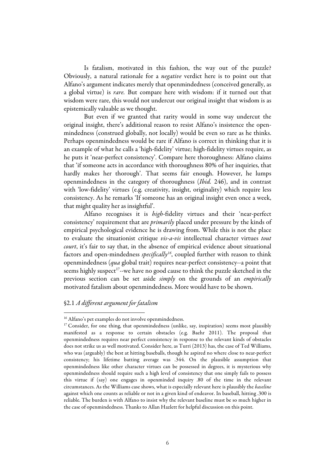Is fatalism, motivated in this fashion, the way out of the puzzle? Obviously, a natural rationale for a *negative* verdict here is to point out that Alfano's argument indicates merely that openmindedness (conceived generally, as a global virtue) is *rare.* But compare here with wisdom: if it turned out that wisdom were rare, this would not undercut our original insight that wisdom is as epistemically valuable as we thought.

But even if we granted that rarity would in some way undercut the original insight, there's additional reason to resist Alfano's insistence the openmindedness (construed globally, not locally) would be even so rare as he thinks. Perhaps openmindedness would be rare if Alfano is correct in thinking that it is an example of what he calls a 'high-fidelity' virtue; high-fidelity virtues require, as he puts it 'near-perfect consistency'. Compare here thoroughness: Alfano claims that 'if someone acts in accordance with thoroughness 80% of her inquiries, that hardly makes her thorough'. That seems fair enough. However, he lumps openmindedness in the category of thoroughness (*Ibid.* 246), and in contrast with 'low-fidelity' virtues (e.g. creativity, insight, originality) which require less consistency. As he remarks 'If someone has an original insight even once a week, that might quality her as insightful'.

Alfano recognises it is *high*-fidelity virtues and their 'near-perfect consistency' requirement that are *primarily* placed under pressure by the kinds of empirical psychological evidence he is drawing from. While this is not the place to evaluate the situationist critique *vis-a-vis* intellectual character virtues *tout court*, it's fair to say that, in the absence of empirical evidence about situational factors and open-mindedness *specifically<sup>16</sup>*, coupled further with reason to think openmindedness (*qua* global trait) requires near-perfect consistency--a point that seems highly suspect<sup>17</sup>--we have no good cause to think the puzzle sketched in the previous section can be set aside *simply* on the grounds of an *empirically* motivated fatalism about openmindedness. More would have to be shown.

# §2.1 *A different argument for fatalism*

<sup>&</sup>lt;sup>16</sup> Alfano's pet examples do not involve openmindedness.

<sup>&</sup>lt;sup>17</sup> Consider, for one thing, that openmindedness (unlike, say, inspiration) seems most plausibly manifested as a response to certain obstacles (e.g. Baehr 2011). The proposal that openmindedness requires near perfect consistency in response to the relevant kinds of obstacles does not strike us as well motivated. Consider here, as Turri (2013) has, the case of Ted Williams, who was (arguably) the best at hitting baseballs, though he aspired no where close to near-perfect consistency; his lifetime batting average was .344. On the plausible assumption that openmindedness like other character virtues can be possessed in degrees, it is mysterious why openmindedness should require such a high level of consistency that one simply fails to possess this virtue if (say) one engages in openminded inquiry .80 of the time in the relevant circumstances. As the Williams case shows, what is especially relevant here is plausibly the *baseline* against which one counts as reliable or not in a given kind of endeavor. In baseball, hitting .300 is reliable. The burden is with Alfano to insist why the relevant baseline must be so much higher in the case of openmindedness. Thanks to Allan Hazlett for helpful discussion on this point.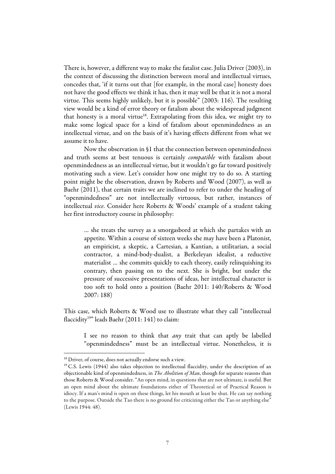There is, however, a different way to make the fatalist case. Julia Driver (2003), in the context of discussing the distinction between moral and intellectual virtues, concedes that, 'if it turns out that [for example, in the moral case] honesty does not have the good effects we think it has, then it may well be that it is not a moral virtue. This seems highly unlikely, but it is possible" (2003: 116). The resulting view would be a kind of error theory or fatalism about the widespread judgment that honesty is a moral virtue<sup>18</sup>. Extrapolating from this idea, we might try to make some logical space for a kind of fatalism about openmindedness as an intellectual virtue, and on the basis of it's having effects different from what we assume it to have.

Now the observation in §1 that the connection between openmindedness and truth seems at best tenuous is certainly *compatible* with fatalism about openmindedness as an intellectual virtue, but it wouldn't go far toward positively motivating such a view. Let's consider how one might try to do so. A starting point might be the observation, drawn by Roberts and Wood (2007), as well as Baehr (2011), that certain traits we are inclined to refer to under the heading of "openmindedness" are not intellectually virtuous, but rather, instances of intellectual *vice*. Consider here Roberts & Woods' example of a student taking her first introductory course in philosophy:

… she treats the survey as a smorgasbord at which she partakes with an appetite. Within a course of sixteen weeks she may have been a Platonist, an empiricist, a skeptic, a Cartesian, a Kantian, a utilitarian, a social contractor, a mind-body-dualist, a Berkeleyan idealist, a reductive materialist … she commits quickly to each theory, easily relinquishing its contrary, then passing on to the next. She is bright, but under the pressure of successive presentations of ideas, her intellectual character is too soft to hold onto a position (Baehr 2011: 140/Roberts & Wood 2007: 188)

This case, which Roberts & Wood use to illustrate what they call "intellectual flaccidity<sup>19"</sup> leads Baehr (2011: 141) to claim:

I see no reason to think that *any* trait that can aptly be labelled "openmindedness" must be an intellectual virtue. Nonetheless, it is

<sup>&</sup>lt;sup>18</sup> Driver, of course, does not actually endorse such a view.

<sup>&</sup>lt;sup>19</sup> C.S. Lewis (1944) also takes objection to intellectual flaccidity, under the description of an objectionable kind of openmindedness, in *The Abolition of Man*, though for separate reasons than those Roberts & Wood consider. "An open mind, in questions that are not ultimate, is useful. But an open mind about the ultimate foundations either of Theoretical or of Practical Reason is idiocy. If a man's mind is open on these things, let his mouth at least be shut. He can say nothing to the purpose. Outside the Tao there is no ground for criticizing either the Tao or anything else" (Lewis 1944: 48).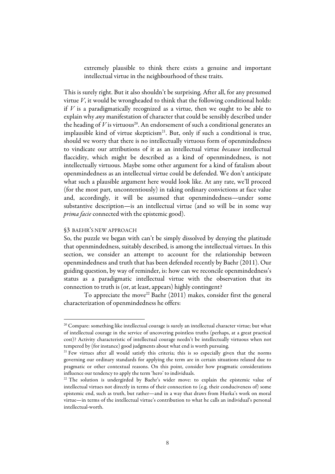extremely plausible to think there exists a genuine and important intellectual virtue in the neighbourhood of these traits.

This is surely right. But it also shouldn't be surprising. After all, for any presumed virtue *V*, it would be wrongheaded to think that the following conditional holds: if *V* is a paradigmatically recognized as a virtue, then we ought to be able to explain why *any* manifestation of character that could be sensibly described under the heading of  $V$  is virtuous<sup>20</sup>. An endorsement of such a conditional generates an implausible kind of virtue skepticism<sup>21</sup>. But, only if such a conditional is true, should we worry that there is no intellectually virtuous form of openmindedness to vindicate our attributions of it as an intellectual virtue *because* intellectual flaccidity, which might be described as a kind of openmindedness, is not intellectually virtuous. Maybe some other argument for a kind of fatalism about openmindedness as an intellectual virtue could be defended. We don't anticipate what such a plausible argument here would look like. At any rate, we'll proceed (for the most part, uncontentiously) in taking ordinary convictions at face value and, accordingly, it will be assumed that openmindedness—under some substantive description—is an intellectual virtue (and so will be in some way *prima facie* connected with the epistemic good).

#### §3 BAEHR'S NEW APPROACH

 

So, the puzzle we began with can't be simply dissolved by denying the platitude that openmindedness, suitably described, is among the intellectual virtues. In this section, we consider an attempt to account for the relationship between openmindedness and truth that has been defended recently by Baehr (2011). Our guiding question, by way of reminder, is: how can we reconcile openmindedness's status as a paradigmatic intellectual virtue with the observation that its connection to truth is (or, at least, appears) highly contingent?

To appreciate the move<sup>22</sup> Baehr (2011) makes, consider first the general characterization of openmindedness he offers:

<sup>&</sup>lt;sup>20</sup> Compare: something like intellectual courage is surely an intellectual character virtue; but what of intellectual courage in the service of uncovering pointless truths (perhaps, at a great practical cost)? Activity characteristic of intellectual courage needn't be intellectually virtuous when not tempered by (for instance) good judgments about what end is worth pursuing.

<sup>&</sup>lt;sup>21</sup> Few virtues after all would satisfy this criteria; this is so especially given that the norms governing our ordinary standards for applying the term are in certain situations relaxed due to pragmatic or other contextual reasons. On this point, consider how pragmatic considerations influence our tendency to apply the term 'hero' to individuals.

<sup>&</sup>lt;sup>22</sup> The solution is undergirded by Baehr's wider move: to explain the epistemic value of intellectual virtues not directly in terms of their connection to (e.g. their conduciveness of) some epistemic end, such as truth, but rather—and in a way that draws from Hurka's work on moral virtue—in terms of the intellectual virtue's contribution to what he calls an individual's personal intellectual-worth.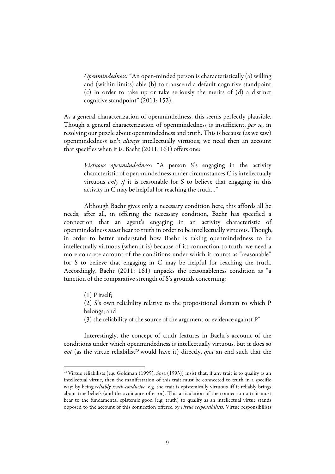*Openmindedness:* "An open-minded person is characteristically (a) willing and (within limits) able (b) to transcend a default cognitive standpoint (c) in order to take up or take seriously the merits of (d) a distinct cognitive standpoint" (2011: 152).

As a general characterization of openmindedness, this seems perfectly plausible. Though a general characterization of openmindedness is insufficient, *per se*, in resolving our puzzle about openmindedness and truth. This is because (as we saw) openmindedness isn't *always* intellectually virtuous; we need then an account that specifies when it is. Baehr (2011: 161) offers one:

*Virtuous openmindedness*: "A person S's engaging in the activity characteristic of open-mindedness under circumstances C is intellectually virtuous *only if* it is reasonable for S to believe that engaging in this activity in C may be helpful for reaching the truth…"

Although Baehr gives only a necessary condition here, this affords all he needs; after all, in offering the necessary condition, Baehr has specified a connection that an agent's engaging in an activity characteristic of openmindedness *must* bear to truth in order to be intellectually virtuous. Though, in order to better understand how Baehr is taking openmindedness to be intellectually virtuous (when it is) because of its connection to truth, we need a more concrete account of the conditions under which it counts as "reasonable" for S to believe that engaging in C may be helpful for reaching the truth. Accordingly, Baehr (2011: 161) unpacks the reasonableness condition as "a function of the comparative strength of S's grounds concerning:

 $(1)$  P itself;

 

(2) S's own reliability relative to the propositional domain to which P belongs; and

(3) the reliability of the source of the argument or evidence against P"

Interestingly, the concept of truth features in Baehr's account of the conditions under which openmindedness is intellectually virtuous, but it does so *not* (as the virtue reliabilist<sup>23</sup> would have it) directly, *qua* an end such that the

<sup>&</sup>lt;sup>23</sup> Virtue reliabilists (e.g. Goldman (1999), Sosa (1993)) insist that, if any trait is to qualify as an intellectual virtue, then the manifestation of this trait must be connected to truth in a specific way: by being *reliably truth-conducive*, e.g. the trait is epistemically virtuous iff it reliably brings about true beliefs (and the avoidance of error). This articulation of the connection a trait must bear to the fundamental epistemic good (e.g. truth) to qualify as an intellectual virtue stands opposed to the account of this connection offered by *virtue responsibilists*. Virtue responsibilists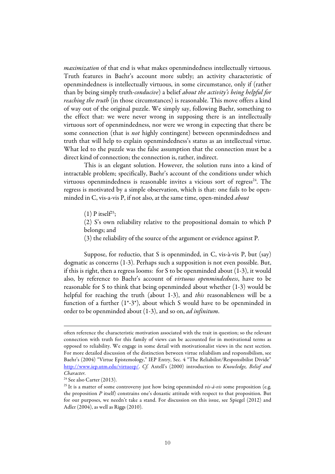*maximization* of that end is what makes openmindedness intellectually virtuous. Truth features in Baehr's account more subtly; an activity characteristic of openmindedness is intellectually virtuous, in some circumstance, only if (rather than by being simply truth-*conducive*) a belief *about the activity's being helpful for reaching the truth* (in those circumstances) is reasonable. This move offers a kind of way out of the original puzzle. We simply say, following Baehr, something to the effect that: we were never wrong in supposing there is an intellectually virtuous sort of openmindedness, nor were we wrong in expecting that there be some connection (that is *not* highly contingent) between openmindedness and truth that will help to explain openmindedness's status as an intellectual virtue. What led to the puzzle was the false assumption that the connection must be a direct kind of connection; the connection is, rather, indirect.

This is an elegant solution. However, the solution runs into a kind of intractable problem; specifically, Baehr's account of the conditions under which virtuous openmindedness is reasonable invites a vicious sort of regress<sup>24</sup>. The regress is motivated by a simple observation, which is that: one fails to be openminded in C, vis-a-vis P, if not also, at the same time, open-minded *about*

 $(1)$  P itsel $f^{25}$ ;

(2) S's own reliability relative to the propositional domain to which P belongs; and

(3) the reliability of the source of the argument or evidence against P.

Suppose, for reductio, that S is openminded, in C, vis-à-vis P, but (say) dogmatic as concerns (1-3). Perhaps such a supposition is not even possible. But, if this is right, then a regress looms: for S to be openminded about (1-3), it would also, by reference to Baehr's account of *virtuous openmindedness*, have to be reasonable for S to think that being openminded about whether (1-3) would be helpful for reaching the truth (about 1-3), and *this* reasonableness will be a function of a further  $(1^*$ -3<sup>\*</sup>), about which S would have to be openminded in order to be openminded about (1-3), and so on, *ad infinitum*.

<u> 1989 - Johann Stein, marwolaethau a bhann an chomhair an chomhair an chomhair an chomhair an chomhair an chom</u>

often reference the characteristic motivation associated with the trait in question; so the relevant connection with truth for this family of views can be accounted for in motivational terms as opposed to reliability. We engage in some detail with motivationalist views in the next section. For more detailed discussion of the distinction between virtue reliabilism and responsibilism, see Baehr's (2004) "Virtue Epistemology," IEP Entry, Sec. 4 "The Reliabilist/Responsibilist Divide" http://www.iep.utm.edu/virtueep/. *Cf.* Axtell's (2000) introduction to *Knowledge, Belief and Character.*

<sup>&</sup>lt;sup>24</sup> See also Carter (2013).

<sup>25</sup> It is a matter of some controversy just how being openminded *vis-à-vis* some proposition (e.g. the proposition *P* itself) constrains one's doxastic attitude with respect to that proposition*.* But for our purposes, we needn't take a stand. For discussion on this issue, see Spiegel (2012) and Adler (2004), as well as Riggs (2010).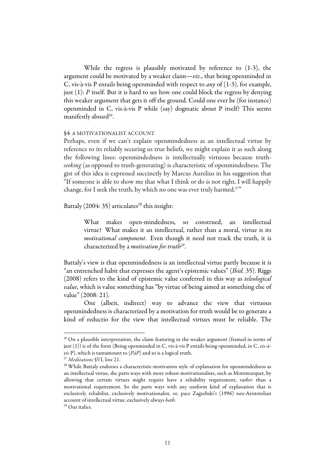While the regress is plausibly motivated by reference to (1-3), the argument could be motivated by a weaker claim—*viz*., that being openminded in C, vis-à-vis P entails being openminded with respect to *any* of (1-3), for example, just (1): *P* itself. But it is hard to see how one could block the regress by denying this weaker argument that gets it off the ground. Could one ever be (for instance) openminded in C, vis-à-vis P while (say) dogmatic about P itself? This seems manifestly absurd<sup>26</sup>.

# §4 A MOTIVATIONALIST ACCOUNT

Perhaps, even if we can't explain openmindedness as an intellectual virtue by reference to its reliably securing us true beliefs, we might explain it as such along the following lines: openmindedness is intellectually virtuous because truth*seeking* (as opposed to truth-generating) is characteristic of openmindedness. The gist of this idea is expressed succinctly by Marcus Aurelius in his suggestion that "If someone is able to show me that what I think or do is not right, I will happily change, for I seek the truth, by which no one was ever truly harmed.<sup>27"</sup>

## Battaly  $(2004:35)$  articulates<sup>28</sup> this insight:

What makes open-mindedness, so construed, an intellectual virtue? What makes it an intellectual, rather than a moral, virtue is its *motivational component*. Even though it need not track the truth, it is characterized by a *motivation for truth29*.

Battaly's view is that openmindedness is an intellectual virtue partly because it is "an entrenched habit that expresses the agent's epistemic values" (*Ibid.* 35). Riggs (2008) refers to the kind of epistemic value conferred in this way as *teleological value*, which is value something has "by virtue of being aimed at something else of value" (2008: 21).

One (albeit, indirect) way to advance the view that virtuous openmindedness is characterized by a motivation for truth would be to generate a kind of reductio for the view that intellectual virtues must be reliable. The

 $26$  On a plausible interpretation, the claim featuring in the weaker argument (framed in terms of just (1)) is of the form (Being openminded in C, vis-à-vis P entails being openminded, in C, *vis-àvis* P), which is tantamount to (*PàP*) and so is a logical truth.

<sup>27</sup> *Meditations* §VI, line 21.

<sup>&</sup>lt;sup>28</sup> While Battaly endorses a characteristic-motivation style of explanation for openmindedness as an intellectual virtue, she parts ways with more robust motivationalists, such as Montmarquet, by allowing that certain virtues might require have a reliability requirement, *rather* than a motivational requirement. So she parts ways with any uniform kind of explanation that is exclusively reliabilist, exclusively motivationalist, or, pace Zagzebski's (1996) neo-Aristotelian account of intellectual virtue, exclusively always *both*. 29 Our italics.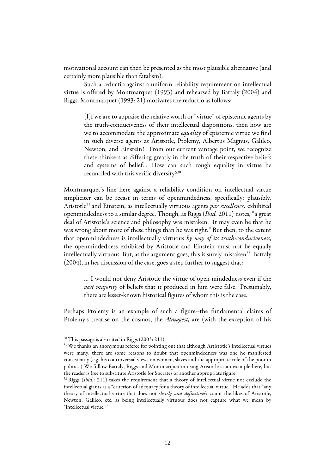motivational account can then be presented as the most plausible alternative (and certainly more plausible than fatalism).

Such a reductio against a uniform reliability requirement on intellectual virtue is offered by Montmarquet (1993) and rehearsed by Battaly (2004) and Riggs. Montmarquet (1993: 21) motivates the reductio as follows:

[I]f we are to appraise the relative worth or "virtue" of epistemic agents by the truth-conduciveness of their intellectual dispositions, then how are we to accommodate the approximate *equality* of epistemic virtue we find in such diverse agents as Aristotle, Ptolemy, Albertus Magnus, Galileo, Newton, and Einstein? From our current vantage point, we recognize these thinkers as differing greatly in the truth of their respective beliefs and systems of belief… How can such rough equality in virtue be reconciled with this verific diversity?<sup>30</sup>

Montmarquet's line here against a reliability condition on intellectual virtue simpliciter can be recast in terms of openmindedness, specifically: plausibly, Aristotle31 and Einstein, as intellectually virtuous agents *par excellence,* exhibited openmindedness to a similar degree. Though, as Riggs (*Ibid.* 2011) notes, "a great deal of Aristotle's science and philosophy was mistaken. It may even be that he was wrong about more of these things than he was right." But then, to the extent that openmindedness is intellectually virtuous *by way of its truth-conduciveness*, the openmindedness exhibited by Aristotle and Einstein must not be equally intellectually virtuous. But, as the argument goes, this is surely mistaken $32$ . Battaly (2004), in her discussion of the case, goes a step further to suggest that:

… I would not deny Aristotle the virtue of open-mindedness even if the *vast majority* of beliefs that it produced in him were false. Presumably, there are lesser-known historical figures of whom this is the case.

Perhaps Ptolemy is an example of such a figure--the fundamental claims of Ptolemy's treatise on the cosmos, the *Almagest,* are (with the exception of his

<sup>&</sup>lt;sup>30</sup> This passage is also cited in Riggs (2003: 211).

<sup>&</sup>lt;sup>31</sup> We thanks an anonymous referee for pointing out that although Artistotle's intellectual virtues were many, there are some reasons to doubt that openmindedness was one he manifested consistently (e.g. his controversial views on women, slaves and the appropriate role of the poor in politics.) We follow Battaly, Riggs and Montmarquet in using Aristotle as an example here, but the reader is free to substitute Aristotle for Socrates or another appropriate figure.

<sup>&</sup>lt;sup>32</sup> Riggs (*Ibid.*: 211) takes the requirement that a theory of intellectual virtue not exclude the intellectual giants as a "criterion of adequacy for a theory of intellectual virtue." He adds that "any theory of intellectual virtue that does not *clearly and definitively* count the likes of Aristotle, Newton, Galileo, etc. as being intellectually virtuous does not capture what we mean by "intellectual virtue.""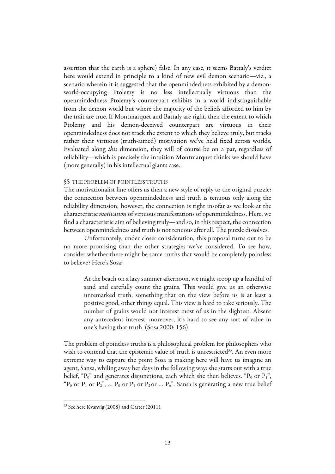assertion that the earth is a sphere) false. In any case, it seems Battaly's verdict here would extend in principle to a kind of new evil demon scenario—viz., a scenario wherein it is suggested that the openmindedness exhibited by a demonworld-occupying Ptolemy is no less intellectually virtuous than the openmindedness Ptolemy's counterpart exhibits in a world indistinguishable from the demon world but where the majority of the beliefs afforded to him by the trait are true. If Montmarquet and Battaly are right, then the extent to which Ptolemy and his demon-deceived counterpart are virtuous in their openmindedness does not track the extent to which they believe truly, but tracks rather their virtuous (truth-aimed) motivation we've held fixed across worlds. Evaluated along *this* dimension, they will of course be on a par, regardless of reliability—which is precisely the intuition Montmarquet thinks we should have (more generally) in his intellectual giants case.

# §5 THE PROBLEM OF POINTLESS TRUTHS

The motivationalist line offers us then a new style of reply to the original puzzle: the connection between openmindedness and truth is tenuous only along the reliability dimension; however, the connection is tight insofar as we look at the characteristic *motivation* of virtuous manifestations of openmindedness. Here, we find a characteristic aim of believing truly—and so, in this respect, the connection between openmindedness and truth is not tenuous after all. The puzzle dissolves.

Unfortunately, under closer consideration, this proposal turns out to be no more promising than the other strategies we've considered. To see how, consider whether there might be some truths that would be completely pointless to believe? Here's Sosa:

At the beach on a lazy summer afternoon, we might scoop up a handful of sand and carefully count the grains. This would give us an otherwise unremarked truth, something that on the view before us is at least a positive good, other things equal. This view is hard to take seriously. The number of grains would not interest most of us in the slightest. Absent any antecedent interest, moreover, it's hard to see any sort of value in one's having that truth. (Sosa 2000: 156)

The problem of pointless truths is a philosophical problem for philosophers who wish to contend that the epistemic value of truth is unrestricted<sup>33</sup>. An even more extreme way to capture the point Sosa is making here will have us imagine an agent, Sansa, whiling away her days in the following way: she starts out with a true belief, " $P_0$ " and generates disjunctions, each which she then believes. " $P_0$  or  $P_1$ ", "P<sub>0</sub> or P<sub>1</sub> or P<sub>2</sub>", ... P<sub>0</sub> or P<sub>1</sub> or P<sub>2</sub> or ... P<sub>n</sub>". Sansa is generating a new true belief

<sup>&</sup>lt;sup>33</sup> See here Kvanvig (2008) and Carter (2011).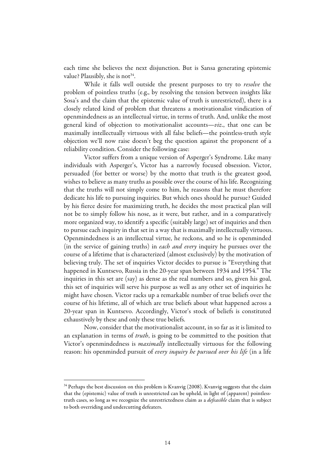each time she believes the next disjunction. But is Sansa generating epistemic value? Plausibly, she is not  $34$ .

While it falls well outside the present purposes to try to *resolve* the problem of pointless truths (e.g., by resolving the tension between insights like Sosa's and the claim that the epistemic value of truth is unrestricted), there is a closely related kind of problem that threatens a motivationalist vindication of openmindedness as an intellectual virtue, in terms of truth. And, unlike the most general kind of objection to motivationalist accounts—*viz*., that one can be maximally intellectually virtuous with all false beliefs—the pointless-truth style objection we'll now raise doesn't beg the question against the proponent of a reliability condition. Consider the following case:

Victor suffers from a unique version of Asperger's Syndrome. Like many individuals with Asperger's, Victor has a narrowly focused obsession. Victor, persuaded (for better or worse) by the motto that truth is the greatest good, wishes to believe as many truths as possible over the course of his life. Recognizing that the truths will not simply come to him, he reasons that he must therefore dedicate his life to pursuing inquiries. But which ones should he pursue? Guided by his fierce desire for maximizing truth, he decides the most practical plan will not be to simply follow his nose, as it were, but rather, and in a comparatively more organized way, to identify a specific (suitably large) set of inquiries and then to pursue each inquiry in that set in a way that is maximally intellectually virtuous. Openmindedness is an intellectual virtue, he reckons, and so he is openminded (in the service of gaining truths) in *each and every* inquiry he pursues over the course of a lifetime that is characterized (almost exclusively) by the motivation of believing truly. The set of inquiries Victor decides to pursue is "Everything that happened in Kuntsevo, Russia in the 20-year span between 1934 and 1954." The inquiries in this set are (say) as dense as the real numbers and so, given his goal, this set of inquiries will serve his purpose as well as any other set of inquiries he might have chosen. Victor racks up a remarkable number of true beliefs over the course of his lifetime, all of which are true beliefs about what happened across a 20-year span in Kuntsevo. Accordingly, Victor's stock of beliefs is constituted exhaustively by these and only these true beliefs.

Now, consider that the motivationalist account, in so far as it is limited to an explanation in terms of *truth*, is going to be committed to the position that Victor's openmindedness is *maximally* intellectually virtuous for the following reason: his openminded pursuit of *every inquiry he pursued over his life* (in a life

 $34$  Perhaps the best discussion on this problem is Kvanvig (2008). Kvanvig suggests that the claim that the (epistemic) value of truth is unrestricted can be upheld, in light of (apparent) pointlesstruth cases, so long as we recognize the unrestrictedness claim as a *defeasible* claim that is subject to both overriding and undercutting defeaters.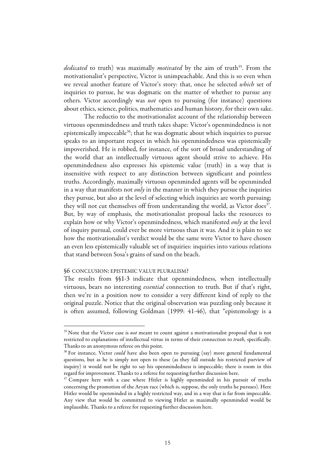*dedicated* to truth) was maximally *motivated* by the aim of truth<sup>35</sup>. From the motivationalist's perspective, Victor is unimpeachable. And this is so even when we reveal another feature of Victor's story: that, once he selected *which* set of inquiries to pursue, he was dogmatic on the matter of whether to pursue any others. Victor accordingly was *not* open to pursuing (for instance) questions about ethics, science, politics, mathematics and human history, for their own sake.

The reductio to the motivationalist account of the relationship between virtuous openmindedness and truth takes shape: Victor's openmindedness is not epistemically impeccable<sup>36</sup>; that he was dogmatic about which inquiries to pursue speaks to an important respect in which his openmindedness was epistemically impoverished. He is robbed, for instance, of the sort of broad understanding of the world that an intellectually virtuous agent should strive to achieve. His openmindedness also expresses his epistemic value (truth) in a way that is insensitive with respect to any distinction between significant and pointless truths. Accordingly, maximally virtuous openminded agents will be openminded in a way that manifests not *only* in the manner in which they pursue the inquiries they pursue, but also at the level of selecting which inquiries are worth pursuing; they will not cut themselves off from understanding the world, as Victor does<sup>37</sup>. But, by way of emphasis, the motivationalist proposal lacks the resources to explain how or why Victor's openmindedness, which manifested *only* at the level of inquiry pursual, could ever be more virtuous than it was. And it is plain to see how the motivationalist's verdict would be the same were Victor to have chosen an even less epistemically valuable set of inquiries: inquiries into various relations that stand between Sosa's grains of sand on the beach.

## §6 CONCLUSION: EPISTEMIC VALUE PLURALISM?

 

The results from §§1-3 indicate that openmindedness, when intellectually virtuous, bears no interesting *essential* connection to truth. But if that's right, then we're in a position now to consider a very different kind of reply to the original puzzle. Notice that the original observation was puzzling only because it is often assumed, following Goldman (1999: 41-46), that "epistemology is a

<sup>35</sup> Note that the Victor case is *not* meant to count against a motivationalist proposal that is not restricted to explanations of intellectual virtue in terms of their connection to *truth,* specifically. Thanks to an anonymous referee on this point.

<sup>36</sup> For instance, Victor *could* have also been open to pursuing (say) more general fundamental questions, but as he is simply not open to these (as they fall outside his restricted purview of inquiry) it would not be right to say his openmindedness is impeccable; there is room in this regard for improvement. Thanks to a referee for requesting further discussion here.

 $37$  Compare here with a case where Hitler is highly openminded in his pursuit of truths concerning the promotion of the Aryan race (which is, suppose, the only truths he pursues). Here Hitler would be openminded in a highly restricted way, and in a way that is far from impeccable. Any view that would be committed to viewing Hitler as maximally openminded would be implausible. Thanks to a referee for requesting further discussion here.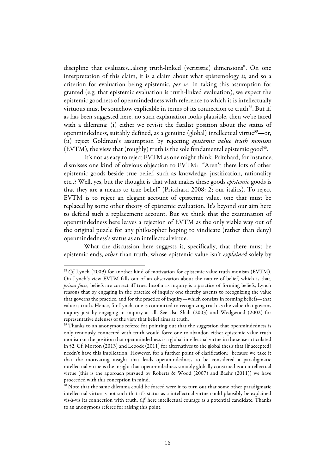discipline that evaluates…along truth-linked (veritistic) dimensions". On one interpretation of this claim, it is a claim about what epistemology *is*, and so a criterion for evaluation being epistemic, *per se.* In taking this assumption for granted (e.g. that epistemic evaluation is truth-linked evaluation), we expect the epistemic goodness of openmindedness with reference to which it is intellectually virtuous must be somehow explicable in terms of its connection to truth<sup>38</sup>. But if, as has been suggested here, no such explanation looks plausible, then we're faced with a dilemma: (i) either we revisit the fatalist position about the status of openmindedness, suitably defined, as a genuine (global) intellectual virtue<sup>39</sup> $-$ or, (ii) reject Goldman's assumption by rejecting *epistemic value truth monism* (EVTM), the view that (roughly) truth is the sole fundamental epistemic good<sup>40</sup>.

It's not as easy to reject EVTM as one might think. Pritchard, for instance, dismisses one kind of obvious objection to EVTM: "Aren't there lots of other epistemic goods beside true belief, such as knowledge, justification, rationality etc.,? Well, yes, but the thought is that what makes these goods *epistemic* goods is that they are a means to true belief" (Pritchard 2008: 2; our italics). To reject EVTM is to reject an elegant account of epistemic value, one that must be replaced by some other theory of epistemic evaluation. It's beyond our aim here to defend such a replacement account. But we think that the examination of openmindedness here leaves a rejection of EVTM as the only viable way out of the original puzzle for any philosopher hoping to vindicate (rather than deny) openmindedness's status as an intellectual virtue.

What the discussion here suggests is, specifically, that there must be epistemic ends, *other* than truth, whose epistemic value isn't *explained* solely by

<sup>&</sup>lt;sup>38</sup> *Cf.* Lynch (2009) for another kind of motivation for epistemic value truth monism (EVTM). On Lynch's view EVTM falls out of an observation about the nature of belief, which is that, *prima facie*, beliefs are correct iff true. Insofar as inquiry is a practice of forming beliefs, Lynch reasons that by engaging in the practice of inquiry one thereby assents to recognizing the value that governs the practice, and for the practice of inquiry—which consists in forming beliefs—that value is truth. Hence, for Lynch, one is committed to recognizing truth as the value that governs inquiry just by engaging in inquiry at all. See also Shah (2003) and Wedgwood (2002) for representative defenses of the view that belief aims at truth.

<sup>&</sup>lt;sup>39</sup> Thanks to an anonymous referee for pointing out that the suggestion that openmindedness is only tenuously connected with truth would force one to abandon either epistemic value truth monism or the position that openmindedness is a global intellectual virtue in the sense articulated in §2. Cf. Morton (2013) and Lepock (2011) for alternatives to the global thesis that (if accepted) needn't have this implication. However, for a further point of clarification: because we take it that the motivating insight that leads openmindedness to be considered a paradigmatic intellectual virtue is the insight that openmindedness suitably globally construed is an intellectual virtue (this is the approach pursued by Roberts & Wood (2007) and Baehr (2011)) we have proceeded with this conception in mind.

 $\frac{40}{40}$  Note that the same dilemma could be forced were it to turn out that some other paradigmatic intellectual virtue is not such that it's status as a intellectual virtue could plausibly be explained vis-à-vis its connection with truth. *Cf.* here intellectual courage as a potential candidate. Thanks to an anonymous referee for raising this point.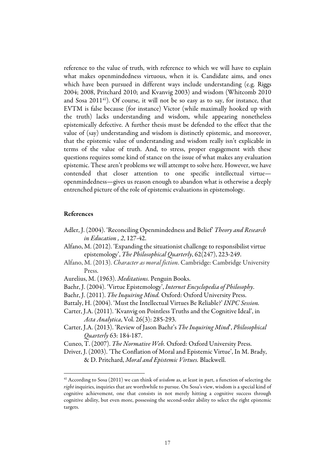reference to the value of truth, with reference to which we will have to explain what makes openmindedness virtuous, when it is. Candidate aims, and ones which have been pursued in different ways include understanding (e.g. Riggs 2004; 2008, Pritchard 2010; and Kvanvig 2003) and wisdom (Whitcomb 2010 and Sosa  $2011^{41}$ ). Of course, it will not be so easy as to say, for instance, that EVTM is false because (for instance) Victor (while maximally hooked up with the truth) lacks understanding and wisdom, while appearing nonetheless epistemically defective. A further thesis must be defended to the effect that the value of (say) understanding and wisdom is distinctly epistemic, and moreover, that the epistemic value of understanding and wisdom really isn't explicable in terms of the value of truth. And, to stress, proper engagement with these questions requires some kind of stance on the issue of what makes any evaluation epistemic. These aren't problems we will attempt to solve here. However, we have contended that closer attention to one specific intellectual virtue openmindedness—gives us reason enough to abandon what is otherwise a deeply entrenched picture of the role of epistemic evaluations in epistemology.

#### References

- Adler, J. (2004). 'Reconciling Openmindedness and Belief' *Theory and Research in Education , 2*, 127-42.
- Alfano, M. (2012). 'Expanding the situationist challenge to responsibilist virtue epistemology', *The Philosophical Quarterly*, 62(247), 223-249.
- Alfano, M. (2013). *Character as moral fiction*. Cambridge: Cambridge University Press.
- Aurelius, M. (1963). *Meditations.* Penguin Books.

- Baehr, J. (2004). 'Virtue Epistemology', *Internet Encyclopedia of Philosophy*.
- Baehr, J. (2011). *The Inquiring Mind.* Oxford: Oxford University Press.
- Battaly, H. (2004). 'Must the Intellectual Virtues Be Reliable?' *INPC Session.*
- Carter, J.A. (2011). 'Kvanvig on Pointless Truths and the Cognitive Ideal', in *Acta Analytica*, Vol. 26(3): 285-293.
- Carter, J.A. (2013). 'Review of Jason Baehr's *The Inquiring Mind*', *Philosophical Quarterly* 63: 184-187.
- Cuneo, T. (2007). *The Normative Web.* Oxford: Oxford University Press.

Driver, J. (2003). 'The Conflation of Moral and Epistemic Virtue', In M. Brady, & D. Pritchard, *Moral and Epistemic Virtues.* Blackwell.

<sup>41</sup> According to Sosa (2011) we can think of *wisdom* as, at least in part, a function of selecting the *right* inquiries, inquiries that are worthwhile to pursue. On Sosa's view, wisdom is a special kind of cognitive achievement, one that consists in not merely hitting a cognitive success through cognitive ability, but even more, possessing the second-order ability to select the right epistemic targets.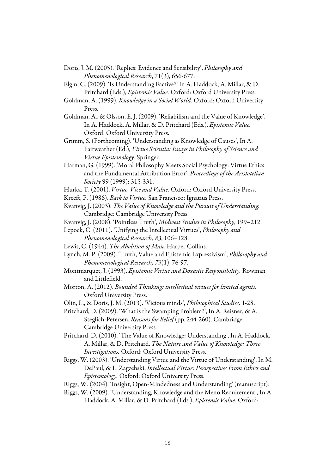- Doris, J. M. (2005). 'Replies: Evidence and Sensibility', *Philosophy and Phenomenological Research*, 71(3), 656-677.
- Elgin, C. (2009). 'Is Understanding Factive?' In A. Haddock, A. Millar, & D. Pritchard (Eds.), *Epistemic Value.* Oxford: Oxford University Press.
- Goldman, A. (1999). *Knowledge in a Social World.* Oxford: Oxford University Press.
- Goldman, A., & Olsson, E. J. (2009). 'Reliabilism and the Value of Knowledge', In A. Haddock, A. Millar, & D. Pritchard (Eds.), *Epistemic Value.* Oxford: Oxford University Press.
- Grimm, S. (Forthcoming). 'Understanding as Knowledge of Causes', In A. Fairweather (Ed.), *Virtue Scientia: Essays in Philosophy of Science and Virtue Epistemology.* Springer.
- Harman, G. (1999). 'Moral Philosophy Meets Social Psychology: Virtue Ethics and the Fundamental Attribution Error', *Proceedings of the Aristotelian Society* 99 (1999): 315-331.
- Hurka, T. (2001). *Virtue, Vice and Value.* Oxford: Oxford University Press.
- Kreeft, P. (1986). *Back to Virtue.* San Francisco: Ignatius Press.
- Kvanvig, J. (2003). *The Value of Knowledge and the Pursuit of Understanding.* Cambridge: Cambridge University Press.
- Kvanvig, J. (2008). 'Pointless Truth', *Midwest Studies in Philosophy*, 199–212.
- Lepock, C. (2011). 'Unifying the Intellectual Virtues', *Philosophy and Phenomenological Research, 83*, 106–128.
- Lewis, C. (1944). *The Abolition of Man.* Harper Collins.
- Lynch, M. P. (2009). 'Truth, Value and Epistemic Expressivism', *Philosophy and Phenomenological Research, 79*(1), 76-97.
- Montmarquet, J. (1993). *Epistemic Virtue and Doxastic Responsibility.* Rowman and Littlefield.
- Morton, A. (2012). *Bounded Thinking: intellectual virtues for limited agents*. Oxford University Press.
- Olin, L., & Doris, J. M. (2013). 'Vicious minds', *Philosophical Studies,* 1-28.
- Pritchard, D. (2009). 'What is the Swamping Problem?', In A. Reisner, & A. Steglich-Petersen, *Reasons for Belief* (pp. 244-260). Cambridge: Cambridge University Press.
- Pritchard, D. (2010). 'The Value of Knowledge: Understanding', In A. Haddock, A. Millar, & D. Pritchard, *The Nature and Value of Knowledge: Three Investigations.* Oxford: Oxford University Press.
- Riggs, W. (2003). 'Understanding Virtue and the Virtue of Understanding', In M. DePaul, & L. Zagzebski, *Intellectual Virtue: Persepectives From Ethics and Epistemology.* Oxford: Oxford University Press.
- Riggs, W. (2004). 'Insight, Open-Mindedness and Understanding' (manuscript).
- Riggs, W. (2009). 'Understanding, Knowledge and the Meno Requirement', In A. Haddock, A. Millar, & D. Pritchard (Eds.), *Epistemic Value.* Oxford: